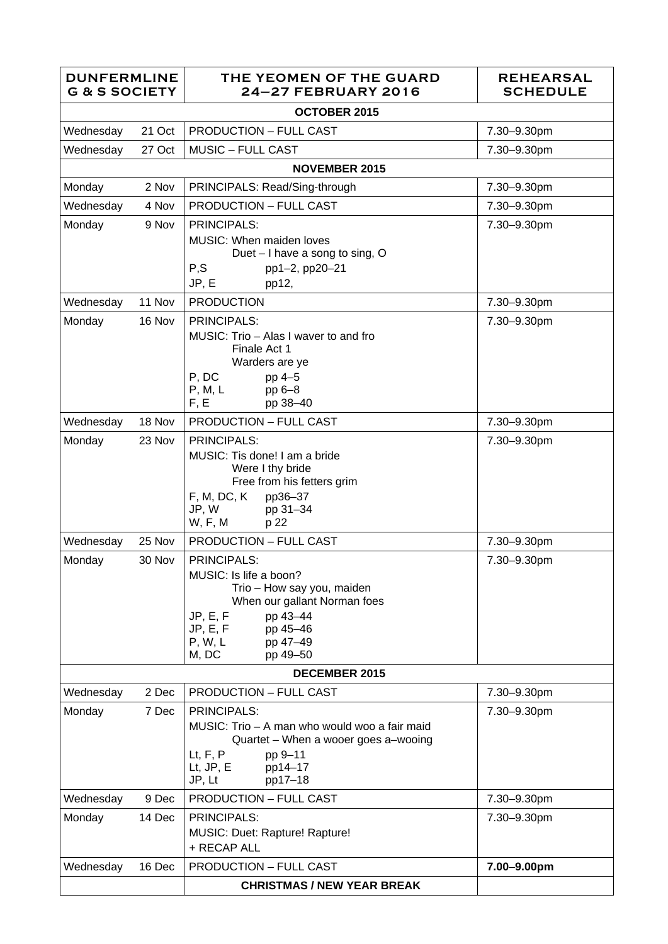| <b>DUNFERMLINE</b><br><b>G &amp; S SOCIETY</b> |        | THE YEOMEN OF THE GUARD<br><b>24-27 FEBRUARY 2016</b>                                                                                                                                                  | <b>REHEARSAL</b><br><b>SCHEDULE</b> |  |  |
|------------------------------------------------|--------|--------------------------------------------------------------------------------------------------------------------------------------------------------------------------------------------------------|-------------------------------------|--|--|
|                                                |        | OCTOBER 2015                                                                                                                                                                                           |                                     |  |  |
| Wednesday                                      | 21 Oct | <b>PRODUCTION - FULL CAST</b>                                                                                                                                                                          | 7.30-9.30pm                         |  |  |
| Wednesday                                      | 27 Oct | <b>MUSIC - FULL CAST</b>                                                                                                                                                                               | 7.30-9.30pm                         |  |  |
|                                                |        | <b>NOVEMBER 2015</b>                                                                                                                                                                                   |                                     |  |  |
| Monday                                         | 2 Nov  | PRINCIPALS: Read/Sing-through                                                                                                                                                                          | 7.30-9.30pm                         |  |  |
| Wednesday                                      | 4 Nov  | <b>PRODUCTION - FULL CAST</b>                                                                                                                                                                          | 7.30-9.30pm                         |  |  |
| Monday                                         | 9 Nov  | <b>PRINCIPALS:</b><br><b>MUSIC: When maiden loves</b><br>Duet - I have a song to sing, O<br>P, S<br>pp1-2, pp20-21<br>JP, E<br>pp12,                                                                   | 7.30-9.30pm                         |  |  |
| Wednesday                                      | 11 Nov | <b>PRODUCTION</b>                                                                                                                                                                                      | 7.30-9.30pm                         |  |  |
| Monday                                         | 16 Nov | <b>PRINCIPALS:</b><br>MUSIC: Trio - Alas I waver to and fro<br>Finale Act 1<br>Warders are ye<br>P, DC<br>pp 4-5<br>P, M, L<br>pp 6-8<br>F, E<br>pp 38-40                                              | 7.30-9.30pm                         |  |  |
| Wednesday                                      | 18 Nov | <b>PRODUCTION - FULL CAST</b>                                                                                                                                                                          | 7.30-9.30pm                         |  |  |
| Monday                                         | 23 Nov | <b>PRINCIPALS:</b><br>MUSIC: Tis done! I am a bride<br>Were I thy bride<br>Free from his fetters grim<br>F, M, DC, K<br>pp36-37<br>JP, W<br>pp 31-34<br>W, F, M<br>p 22                                | 7.30-9.30pm                         |  |  |
| Wednesday                                      | 25 Nov | <b>PRODUCTION - FULL CAST</b>                                                                                                                                                                          | 7.30-9.30pm                         |  |  |
| Monday                                         | 30 Nov | <b>PRINCIPALS:</b><br>MUSIC: Is life a boon?<br>Trio - How say you, maiden<br>When our gallant Norman foes<br>JP, E, F<br>pp 43-44<br>JP, E, F<br>pp 45-46<br>pp 47-49<br>P, W, L<br>M, DC<br>pp 49-50 | 7.30-9.30pm                         |  |  |
| <b>DECEMBER 2015</b>                           |        |                                                                                                                                                                                                        |                                     |  |  |
| Wednesday                                      | 2 Dec  | <b>PRODUCTION - FULL CAST</b>                                                                                                                                                                          | 7.30-9.30pm                         |  |  |
| Monday                                         | 7 Dec  | <b>PRINCIPALS:</b><br>MUSIC: Trio - A man who would woo a fair maid<br>Quartet - When a wooer goes a-wooing<br>Lt, F, P<br>pp 9-11<br>$Lt$ , JP, $E$<br>pp14-17<br>JP, Lt<br>pp17-18                   | 7.30-9.30pm                         |  |  |
| Wednesday                                      | 9 Dec  | <b>PRODUCTION - FULL CAST</b>                                                                                                                                                                          | 7.30-9.30pm                         |  |  |
| Monday                                         | 14 Dec | <b>PRINCIPALS:</b><br>MUSIC: Duet: Rapture! Rapture!<br>+ RECAP ALL                                                                                                                                    | 7.30-9.30pm                         |  |  |
| Wednesday                                      | 16 Dec | <b>PRODUCTION - FULL CAST</b>                                                                                                                                                                          | 7.00-9.00pm                         |  |  |
|                                                |        | <b>CHRISTMAS / NEW YEAR BREAK</b>                                                                                                                                                                      |                                     |  |  |